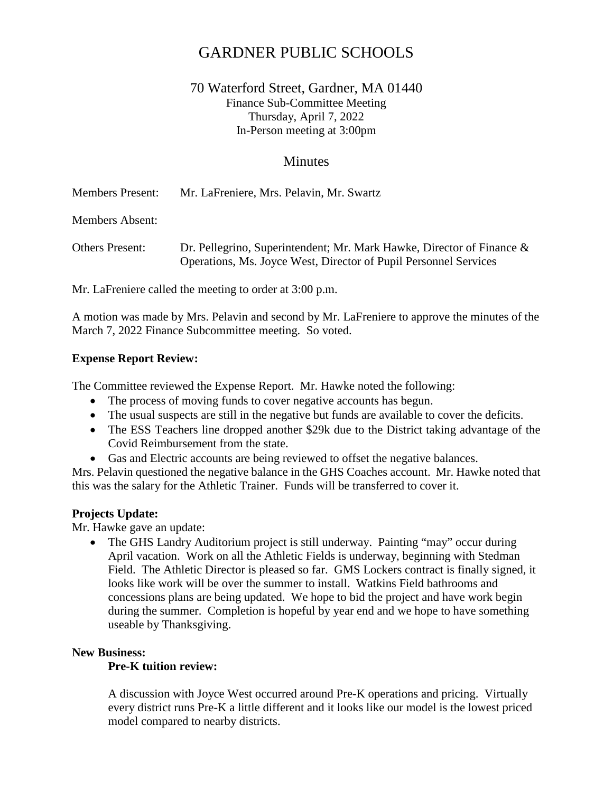# GARDNER PUBLIC SCHOOLS

# 70 Waterford Street, Gardner, MA 01440 Finance Sub-Committee Meeting Thursday, April 7, 2022 In-Person meeting at 3:00pm

# **Minutes**

Members Present: Mr. LaFreniere, Mrs. Pelavin, Mr. Swartz

Members Absent:

Others Present: Dr. Pellegrino, Superintendent; Mr. Mark Hawke, Director of Finance & Operations, Ms. Joyce West, Director of Pupil Personnel Services

Mr. LaFreniere called the meeting to order at 3:00 p.m.

A motion was made by Mrs. Pelavin and second by Mr. LaFreniere to approve the minutes of the March 7, 2022 Finance Subcommittee meeting. So voted.

## **Expense Report Review:**

The Committee reviewed the Expense Report. Mr. Hawke noted the following:

- The process of moving funds to cover negative accounts has begun.
- The usual suspects are still in the negative but funds are available to cover the deficits.
- The ESS Teachers line dropped another \$29k due to the District taking advantage of the Covid Reimbursement from the state.
- Gas and Electric accounts are being reviewed to offset the negative balances.

Mrs. Pelavin questioned the negative balance in the GHS Coaches account. Mr. Hawke noted that this was the salary for the Athletic Trainer. Funds will be transferred to cover it.

### **Projects Update:**

Mr. Hawke gave an update:

• The GHS Landry Auditorium project is still underway. Painting "may" occur during April vacation. Work on all the Athletic Fields is underway, beginning with Stedman Field. The Athletic Director is pleased so far. GMS Lockers contract is finally signed, it looks like work will be over the summer to install. Watkins Field bathrooms and concessions plans are being updated. We hope to bid the project and have work begin during the summer. Completion is hopeful by year end and we hope to have something useable by Thanksgiving.

### **New Business:**

## **Pre-K tuition review:**

A discussion with Joyce West occurred around Pre-K operations and pricing. Virtually every district runs Pre-K a little different and it looks like our model is the lowest priced model compared to nearby districts.